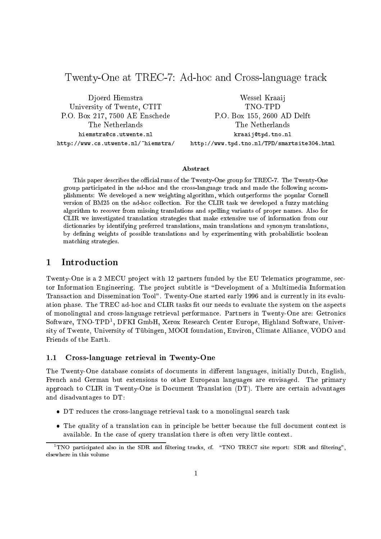# Twenty-One at TREC-7: Ad-hoc and Cross-language track

Djoerd Hiemstra University of Twente, CTIT P.O. Box 217, 7500 AE Enschede The Netherlands hiemstra@cs.utwente.nl http://www.cs.utwente.nl/~hiemstra/

Wessel Kraaij TNO-TPD P.O. Box 155, 2600 AD Delft The Netherlands kraaij@tpd.tno.nl http://www.tpd.tno.nl/TPD/smartsite304.html

### Abstract

This paper describes the official runs of the Twenty-One group for TREC-7. The Twenty-One group participated in the ad-hoc and the cross-language track and made the following accomplishments: We developed a new weighting algorithm, which outperforms the popular Cornell version of BM25 on the ad-hoc collection. For the CLIR task we developed a fuzzy matching algorithm to recover from missing translations and spelling variants of proper names. Also for CLIR we investigated translation strategies that make extensive use of information from our dictionaries by identifying preferred translations, main translations and synonym translations, by defining weights of possible translations and by experimenting with probabilistic boolean matching strategies.

### 1 Introduction

Twenty-One is a 2 MECU project with 12 partners funded by the EU Telematics programme, sector Information Engineering. The project subtitle is "Development of a Multimedia Information Transaction and Dissemination Tool". Twenty-One started early 1996 and is currently in its evaluation phase. The TREC ad-hoc and CLIR tasks fit our needs to evaluate the system on the aspects of monolingual and cross-language retrieval performance. Partners in Twenty-One are: Getronics Software, INO-TPD-, DFKI GmbH, Aerox Research Center Europe, Highland Software, University of Twente, University of Tubingen, MOOI foundation, Environ, Climate Alliance, VODO and Friends of the Earth.

### 1.1 Cross-language retrieval in Twenty-One

The Twenty-One database consists of documents in different languages, initially Dutch, English, French and German but extensions to other European languages are envisaged. The primary approach to CLIR in Twenty-One is Document Translation (DT). There are certain advantages and disadvantages to DT:

- DT reduces the cross-language retrieval task to a monolingual search task
- The quality of a translation can in principle be better because the full document context is available. In the case of query translation there is often very little context.

TINO participated also in the SDR and filtering tracks, cf. "INO TREC7 site report: SDR and filtering",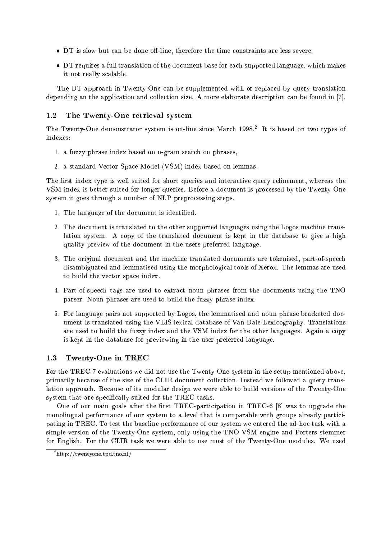- $\bullet$  DT is slow but can be done off-line, therefore the time constraints are less severe.
- DT requires a full translation of the document base for each supported language, which makes it not really scalable.

The DT approach in Twenty-One can be supplemented with or replaced by query translation depending an the application and collection size. A more elaborate description can be found in [7].

### 1.2 The Twenty-One retrieval system

The Twenty-One demonstrator system is on-line since March 1998.<sup>2</sup> It is based on two types of indexes:

- 1. a fuzzy phrase index based on n-gram search on phrases,
- 2. a standard Vector Space Model (VSM) index based on lemmas.

The first index type is well suited for short queries and interactive query refinement, whereas the VSM index is better suited for longer queries. Before a document is processed by the Twenty-One system it goes through a number of NLP preprocessing steps.

- 1. The language of the document is identied.
- 2. The document is translated to the other supported languages using the Logos machine translation system. A copy of the translated document is kept in the database to give a high quality preview of the document in the users preferred language.
- 3. The original document and the machine translated documents are tokenised, part-of-speech disambiguated and lemmatised using the morphological tools of Xerox. The lemmas are used to build the vector space index.
- 4. Part-of-speech tags are used to extract noun phrases from the documents using the TNO parser. Noun phrases are used to build the fuzzy phrase index.
- 5. For language pairs not supported by Logos, the lemmatised and noun phrase bracketed document is translated using the VLIS lexical database of Van Dale Lexicography. Translations are used to build the fuzzy index and the VSM index for the other languages. Again a copy is kept in the database for previewing in the user-preferred language.

#### $1.3$ Twenty-One in TREC

For the TREC-7 evaluations we did not use the Twenty-One system in the setup mentioned above, primarily because of the size of the CLIR document collection. Instead we followed a query translation approach. Because of its modular design we were able to build versions of the Twenty-One system that are specically suited for the TREC tasks.

One of our main goals after the first TREC-participation in TREC-6  $[8]$  was to upgrade the monolingual performance of our system to a level that is comparable with groups already participating in TREC. To test the baseline performance of our system we entered the ad-hoc task with a simple version of the Twenty-One system, only using the TNO VSM engine and Porters stemmer for English. For the CLIR task we were able to use most of the Twenty-One modules. We used

<sup>2</sup> http://twentyone.tpd.tno.nl/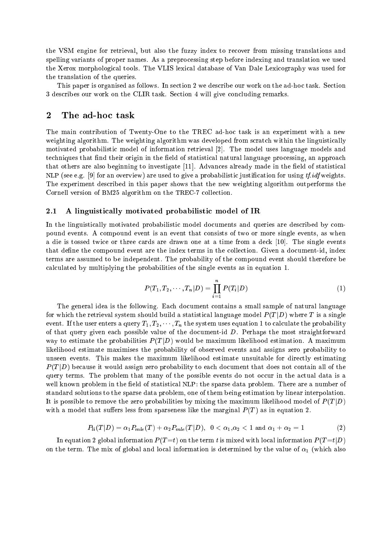the VSM engine for retrieval, but also the fuzzy index to recover from missing translations and spelling variants of proper names. As a preprocessing step before indexing and translation we used the Xerox morphological tools. The VLIS lexical database of Van Dale Lexicography was used for the translation of the queries.

This paper is organised as follows. In section 2 we describe our work on the ad-hoc task. Section 3 describes our work on the CLIR task. Section 4 will give concluding remarks.

### 2 The ad-hoc task

The main contribution of Twenty-One to the TREC ad-hoc task is an experiment with a new weighting algorithm. The weighting algorithm was developed from scratch within the linguistically motivated probabilistic model of information retrieval [2]. The model uses language models and techniques that find their origin in the field of statistical natural language processing, an approach that others are also beginning to investigate  $[11]$ . Advances already made in the field of statistical NLP (see e.g. [9] for an overview) are used to give a probabilistic justification for using  $tf.idf$  weights. The experiment described in this paper shows that the new weighting algorithm outperforms the Cornell version of BM25 algorithm on the TREC-7 collection.

### 2.1 A linguistically motivated probabilistic model of IR

In the linguistically motivated probabilistic model documents and queries are described by compound events. A compound event is an event that consists of two or more single events, as when a die is tossed twice or three cards are drawn one at a time from a deck [10]. The single events that define the compound event are the index terms in the collection. Given a document-id, index terms are assumed to be independent. The probability of the compound event should therefore be calculated by multiplying the probabilities of the single events as in equation 1.

$$
P(T_1, T_2, \cdots, T_n | D) = \prod_{i=1}^n P(T_i | D)
$$
 (1)

The general idea is the following. Each document contains a small sample of natural language for which the retrieval system should build a statistical language model  $P(T|D)$  where T is a single event. If the user enters a query  $T_1, T_2, \cdots, T_n$  the system uses equation 1 to calculate the probability of that query given each possible value of the document-id  $D$ . Perhaps the most straightforward way to estimate the probabilities  $P(T|D)$  would be maximum likelihood estimation. A maximum likelihood estimate maximises the probability of observed events and assigns zero probability to unseen events. This makes the maximum likelihood estimate unsuitable for directly estimating  $P(T|D)$  because it would assign zero probability to each document that does not contain all of the query terms. The problem that many of the possible events do not occur in the actual data is a well known problem in the field of statistical NLP: the sparse data problem. There are a number of standard solutions to the sparse data problem, one of them being estimation by linear interpolation. It is possible to remove the zero probabilities by mixing the maximum likelihood model of  $P(T|D)$ with a model that suffers less from sparseness like the marginal  $P(T)$  as in equation 2.

$$
P_{li}(T|D) = \alpha_1 P_{mle}(T) + \alpha_2 P_{mle}(T|D), \ \ 0 < \alpha_1, \alpha_2 < 1 \ \text{and} \ \alpha_1 + \alpha_2 = 1 \tag{2}
$$

In equation 2 global information  $P(T=t)$  on the term t is mixed with local information  $P(T=t|D)$ on the term. The mix of global and local information is determined by the value of  $\alpha_1$  (which also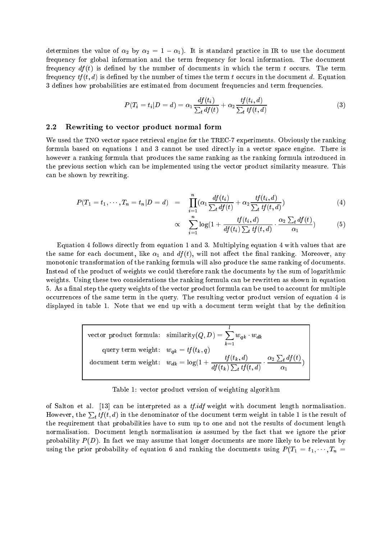determines the value of  $\alpha_2$  by  $\alpha_2 = 1 - \alpha_1$ . It is standard practice in IR to use the document frequency for global information and the term frequency for local information. The document frequency  $df(t)$  is defined by the number of documents in which the term t occurs. The term frequency  $tf(t, d)$  is defined by the number of times the term t occurs in the document d. Equation 3 defines how probabilities are estimated from document frequencies and term frequencies.

$$
P(T_i = t_i | D = d) = \alpha_1 \frac{df(t_i)}{\sum_t df(t)} + \alpha_2 \frac{tf(t_i, d)}{\sum_t tf(t, d)}
$$
\n
$$
(3)
$$

### 2.2 Rewriting to vector product normal form

We used the TNO vector space retrieval engine for the TREC-7 experiments. Obviously the ranking formula based on equations 1 and 3 cannot be used directly in a vector space engine. There is however a ranking formula that produces the same ranking as the ranking formula introduced in the previous section which can be implemented using the vector product similarity measure. This can be shown by rewriting.

$$
P(T_1 = t_1, \cdots, T_n = t_n | D = d) = \prod_{i=1}^n (\alpha_1 \frac{df(t_i)}{\sum_t df(t)} + \alpha_2 \frac{tf(t_i, d)}{\sum_t tf(t, d)}) \tag{4}
$$

$$
\propto \sum_{i=1}^{n} \log(1 + \frac{tf(t_i, d)}{df(t_i) \sum_t tf(t, d)} \cdot \frac{\alpha_2 \sum_t df(t)}{\alpha_1}) \tag{5}
$$

Equation 4 follows directly from equation 1 and 3. Multiplying equation 4 with values that are the same for each document, like  $\alpha_1$  and  $df(t)$ , will not affect the final ranking. Moreover, any monotonic transformation of the ranking formula will also produce the same ranking of documents. Instead of the product of weights we could therefore rank the documents by the sum of logarithmic weights. Using these two considerations the ranking formula can be rewritten as shown in equation 5. As a final step the query weights of the vector product formula can be used to account for multiple occurrences of the same term in the query. The resulting vector product version of equation 4 is displayed in table 1. Note that we end up with a document term weight that by the definition

vector product formula: similarity(
$$
Q, D
$$
) =  $\sum_{k=1}^{l} w_{qk} \cdot w_{dk}$   
query term weight:  $w_{qk} = tf(t_k, q)$   
document term weight:  $w_{dk} = \log(1 + \frac{tf(t_k, d)}{df(t_k) \sum_t tf(t, d)} \cdot \frac{\alpha_2 \sum_t df(t)}{\alpha_1})$ 

Table 1: vector product version of weighting algorithm

of Salton et al.  $[13]$  can be interpreted as a *tf.idf* weight with document length normalisation. However, the  $\sum_{t} tf(t, d)$  in the denominator of the document term weight in table 1 is the result of the requirement that probabilities have to sum up to one and not the results of document length normalisation. Document length normalisation is assumed by the fact that we ignore the prior probability  $P(D)$ . In fact we may assume that longer documents are more likely to be relevant by using the prior probability of equation 6 and ranking the documents using  $P(T_1 = t_1, \dots, T_n =$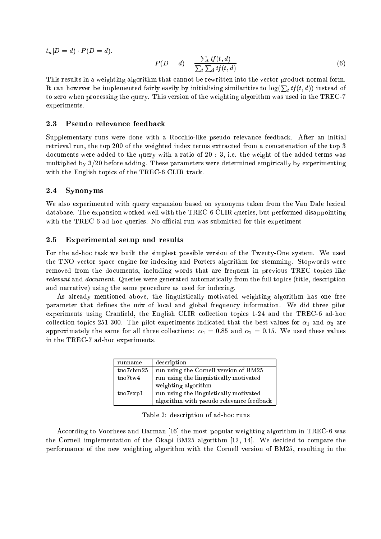$t_n|D = d) \cdot P(D = d).$ 

$$
P(D = d) = \frac{\sum_{t} tf(t, d)}{\sum_{t} \sum_{d} tf(t, d)}
$$
\n
$$
(6)
$$

This results in a weighting algorithm that cannot be rewritten into the vector product normal form. It can however be implemented fairly easily by initialising similarities to  $log(\sum_{i} t f(t, d))$  instead of to zero when processing the query. This version of the weighting algorithm was used in the TREC-7 experiments.

#### 2.3 Pseudo relevance feedback

Supplementary runs were done with a Rocchio-like pseudo relevance feedback. After an initial retrieval run, the top 200 of the weighted index terms extracted from a concatenation of the top 3 documents were added to the query with a ratio of 20 : 3, i.e. the weight of the added terms was multiplied by  $3/20$  before adding. These parameters were determined empirically by experimenting with the English topics of the TREC-6 CLIR track.

### 2.4 Synonyms

We also experimented with query expansion based on synonyms taken from the Van Dale lexical database. The expansion worked well with the TREC-6 CLIR queries, but performed disappointing with the TREC-6 ad-hoc queries. No official run was submitted for this experiment

### 2.5 Experimental setup and results

For the ad-hoc task we built the simplest possible version of the Twenty-One system. We used the TNO vector space engine for indexing and Porters algorithm for stemming. Stopwords were removed from the documents, including words that are frequent in previous TREC topics like relevant and document. Queries were generated automatically from the full topics (title, description and narrative) using the same procedure as used for indexing.

As already mentioned above, the linguistically motivated weighting algorithm has one free parameter that defines the mix of local and global frequency information. We did three pilot experiments using Cranfield, the English CLIR collection topics 1-24 and the TREC-6 ad-hoc collection topics 251-300. The pilot experiments indicated that the best values for  $\alpha_1$  and  $\alpha_2$  are approximately the same for all three collections:  $\alpha_1 = 0.85$  and  $\alpha_2 = 0.15$ . We used these values in the TREC-7 ad-hoc experiments.

| runname           | description                              |
|-------------------|------------------------------------------|
| tno7cbm25         | run using the Cornell version of BM25    |
| tno7tw4           | run using the linguistically motivated   |
|                   | weighting algorithm                      |
| $\text{tno7exp1}$ | run using the linguistically motivated   |
|                   | algorithm with pseudo relevance feedback |

Table 2: description of ad-hoc runs

According to Voorhees and Harman [16] the most popular weighting algorithm in TREC-6 was the Cornell implementation of the Okapi BM25 algorithm [12, 14]. We decided to compare the performance of the new weighting algorithm with the Cornell version of BM25, resulting in the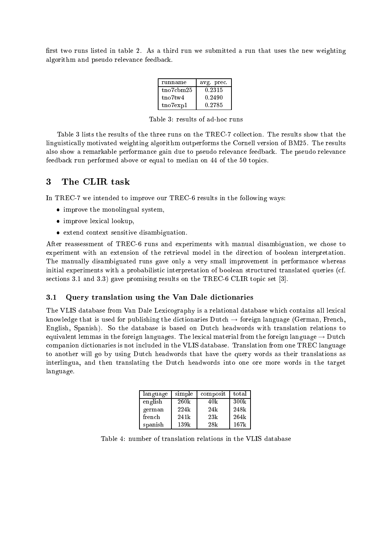first two runs listed in table 2. As a third run we submitted a run that uses the new weighting algorithm and pseudo relevance feedback.

| runname   | avg. prec. |
|-----------|------------|
| tno7cbm25 | 0.2315     |
| tno7tw4   | 0.2490     |
| tno7exp1  | 0.2785     |

Table 3: results of ad-hoc runs

Table 3 lists the results of the three runs on the TREC-7 collection. The results show that the linguistically motivated weighting algorithm outperforms the Cornell version of BM25. The results also show a remarkable performance gain due to pseudo relevance feedback. The pseudo relevance feedback run performed above or equal to median on 44 of the 50 topics.

#### 3 The CLIR task

In TREC-7 we intended to improve our TREC-6 results in the following ways:

- improve the monolingual system,
- improve lexical lookup.
- extend context sensitive disambiguation.

After reassessment of TREC-6 runs and experiments with manual disambiguation, we chose to experiment with an extension of the retrieval model in the direction of boolean interpretation. The manually disambiguated runs gave only a very small improvement in performance whereas initial experiments with a probabilistic interpretation of boolean structured translated queries (cf. sections 3.1 and 3.3) gave promising results on the TREC-6 CLIR topic set [3].

### 3.1 Query translation using the Van Dale dictionaries

The VLIS database from Van Dale Lexicography is a relational database which contains all lexical knowledge that is used for publishing the dictionaries Dutch  $\rightarrow$  foreign language (German, French, English, Spanish). So the database is based on Dutch headwords with translation relations to equivalent lemmas in the foreign languages. The lexical material from the foreign language  $\rightarrow$  Dutch companion dictionaries is not included in the VLIS database. Translation from one TREC language to another will go by using Dutch headwords that have the query words as their translations as interlingua, and then translating the Dutch headwords into one ore more words in the target language.

| language | simple | composit | total |
|----------|--------|----------|-------|
| english  | 260k   | 40k      | 300k  |
| german   | 224k   | 24k      | 248k  |
| french   | 241k   | 23k      | 264k  |
| spanish  | 139k   | 28k      | 167k  |

Table 4: number of translation relations in the VLIS database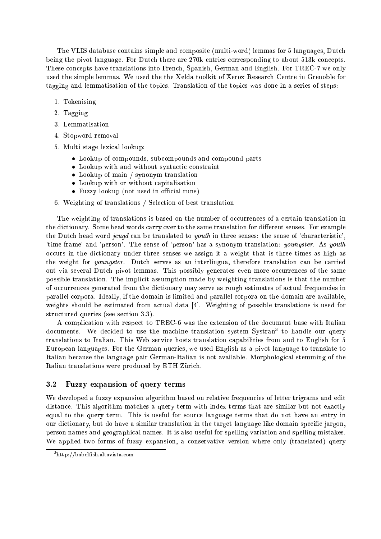The VLIS database contains simple and composite (multi-word) lemmas for 5 languages, Dutch being the pivot language. For Dutch there are 270k entries corresponding to about 513k concepts. These concepts have translations into French, Spanish, German and English. For TREC-7 we only used the simple lemmas. We used the the Xelda toolkit of Xerox Research Centre in Grenoble for tagging and lemmatisation of the topics. Translation of the topics was done in a series of steps:

- 1. Tokenising
- 2. Tagging
- 3. Lemmatisation
- 4. Stopword removal
- 5. Multi stage lexical lookup:
	- Lookup of compounds, subcompounds and compound parts
	- Lookup with and without syntactic constraint
	- Lookup of main / synonym translation
	- Lookup with or without capitalisation
	- Fuzzy lookup (not used in official runs)
- 6. Weighting of translations / Selection of best translation

The weighting of translations is based on the number of occurrences of a certain translation in the dictionary. Some head words carry over to the same translation for different senses. For example the Dutch head word jeugd can be translated to youth in three senses: the sense of 'characteristic', 'time-frame' and 'person'. The sense of 'person' has a synonym translation: youngster. As youth occurs in the dictionary under three senses we assign it a weight that is three times as high as the weight for youngster. Dutch serves as an interlingua, therefore translation can be carried out via several Dutch pivot lemmas. This possibly generates even more occurrences of the same possible translation. The implicit assumption made by weighting translations is that the number of occurrences generated from the dictionary may serve as rough estimates of actual frequencies in parallel corpora. Ideally, if the domain is limited and parallel corpora on the domain are available, weights should be estimated from actual data [4]. Weighting of possible translations is used for structured queries (see section 3.3).

A complication with respect to TREC-6 was the extension of the document base with Italian documents. We decided to use the machine translation system Systran<sup>3</sup> to handle our query translations to Italian. This Web service hosts translation capabilities from and to English for 5 European languages. For the German queries, we used English as a pivot language to translate to Italian because the language pair German-Italian is not available. Morphological stemming of the Italian translations were produced by ETH Zurich.

#### $3.2$ 3.2 Fuzzy expansion of query terms

We developed a fuzzy expansion algorithm based on relative frequencies of letter trigrams and edit distance. This algorithm matches a query term with index terms that are similar but not exactly equal to the query term. This is useful for source language terms that do not have an entry in our dictionary, but do have a similar translation in the target language like domain specic jargon, person names and geographical names. It is also useful for spelling variation and spelling mistakes. We applied two forms of fuzzy expansion, a conservative version where only (translated) query

<sup>3</sup> http://babelsh.altavista.com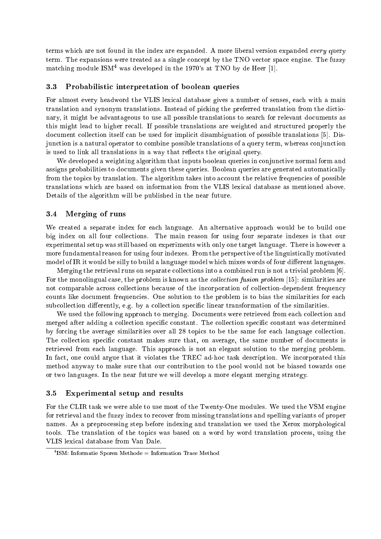terms which are not found in the index are expanded. A more liberal version expanded every query term. The expansions were treated as a single concept by the TNO vector space engine. The fuzzy matching module  ${\rm ISM^4}$  was developed in the  $1970\text{'s}$  at TNO by de Heer [1].

### 3.3 Probabilistic interpretation of boolean queries

For almost every headword the VLIS lexical database gives a number of senses, each with a main translation and synonym translations. Instead of picking the preferred translation from the dictionary, it might be advantageous to use all possible translations to search for relevant documents as this might lead to higher recall. If possible translations are weighted and structured properly the document collection itself can be used for implicit disambiguation of possible translations [5]. Disjunction is a natural operator to combine possible translations of a query term, whereas conjunction is used to link all translations in a way that reflects the original query.

We developed a weighting algorithm that inputs boolean queries in conjunctive normal form and assigns probabilities to documents given these queries. Boolean queries are generated automatically from the topics by translation. The algorithm takes into account the relative frequencies of possible translations which are based on information from the VLIS lexical database as mentioned above. Details of the algorithm will be published in the near future.

### 3.4 Merging of runs

We created a separate index for each language. An alternative approach would be to build one big index on all four collections. The main reason for using four separate indexes is that our experimental setup was still based on experiments with only one target language. There is however a more fundamental reason for using four indexes. From the perspective of the linguistically motivated model of IR it would be silly to build a language model which mixes words of four different languages.

Merging the retrieval runs on separate collections into a combined run is not a trivial problem [6]. For the monolingual case, the problem is known as the *collection fusion problem* [15]: similarities are not comparable across collections because of the incorporation of collection-dependent frequency counts like document frequencies. One solution to the problem is to bias the similarities for each subcollection differently, e.g. by a collection specific linear transformation of the similarities.

We used the following approach to merging. Documents were retrieved from each collection and merged after adding a collection specic constant. The collection specic constant was determined by forcing the average similarities over all 28 topics to be the same for each language collection. The collection specific constant makes sure that, on average, the same number of documents is retrieved from each language. This approach is not an elegant solution to the merging problem. In fact, one could argue that it violates the TREC ad-hoc task description. We incorporated this method anyway to make sure that our contribution to the pool would not be biased towards one or two languages. In the near future we will develop a more elegant merging strategy.

### 3.5 Experimental setup and results

For the CLIR task we were able to use most of the Twenty-One modules. We used the VSM engine for retrieval and the fuzzy index to recover from missing translations and spelling variants of proper names. As a preprocessing step before indexing and translation we used the Xerox morphological tools. The translation of the topics was based on a word by word translation process, using the VLIS lexical database from Van Dale.

<sup>4</sup> ISM: Informatie Sporen Methode <sup>=</sup> Information Trace Method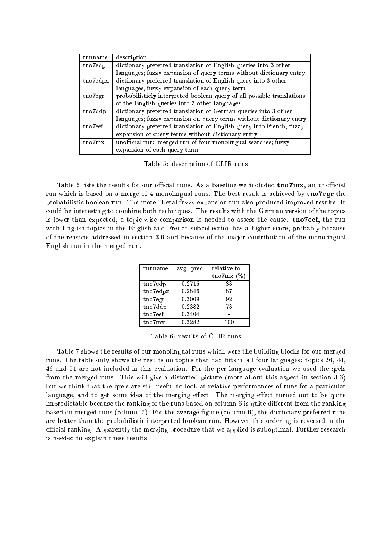| runname  | description                                                            |
|----------|------------------------------------------------------------------------|
| tno7edp  | dictionary preferred translation of English queries into 3 other       |
|          | languages; fuzzy expansion of query terms without dictionary entry     |
| tno7edpx | dictionary preferred translation of English query into 3 other         |
|          | languages; fuzzy expansion of each query term                          |
| tno7egr  | probabilisticly interpreted boolean query of all possible translations |
|          | of the English queries into 3 other languages                          |
| tno7ddp  | dictionary preferred translation of German queries into 3 other        |
|          | languages; fuzzy expansion on query terms without dictionary entry     |
| tno7eef  | dictionary preferred translation of English query into French; fuzzy   |
|          | expansion of query terms without dictionary entry                      |
| tno7mx   | unofficial run: merged run of four monolingual searches; fuzzy         |
|          | expansion of each query term                                           |

Table 5: description of CLIR runs

Table 6 lists the results for our official runs. As a baseline we included  $tno7mx$ , an unofficial run which is based on a merge of 4 monolingual runs. The best result is achieved by tno7egr the probabilistic boolean run. The more liberal fuzzy expansion run also produced improved results. It could be interesting to combine both techniques. The results with the German version of the topics is lower than expected, a topic-wise comparison is needed to assess the cause. tno7eef, the run with English topics in the English and French subcollection has a higher score, probably because of the reasons addressed in section 3.6 and because of the ma jor contribution of the monolingual English run in the merged run.

| runname  | avg. prec. | relative to   |
|----------|------------|---------------|
|          |            | tno7mx $(\%)$ |
| tno7edp  | 0.2716     | 83            |
| tno7edpx | 0.2846     | 87            |
| tno7egr  | 0.3009     | 92            |
| tno7ddp  | 0.2382     | 73            |
| tno7eef  | 0.3404     |               |
| tno7mx   | 0.3282     | 100           |

Table 6: results of CLIR runs

Table 7 shows the results of our monolingual runs which were the building blocks for our merged runs. The table only shows the results on topics that had hits in all four languages: topics 26, 44, 46 and 51 are not included in this evaluation. For the per language evaluation we used the qrels from the merged runs. This will give a distorted picture (more about this aspect in section 3.6) but we think that the qrels are still useful to look at relative performances of runs for a particular language, and to get some idea of the merging effect. The merging effect turned out to be quite impredictable because the ranking of the runs based on column  $6$  is quite different from the ranking based on merged runs (column 7). For the average figure (column 6), the dictionary preferred runs are better than the probabilistic interpreted boolean run. However this ordering is reversed in the official ranking. Apparently the merging procedure that we applied is suboptimal. Further research is needed to explain these results.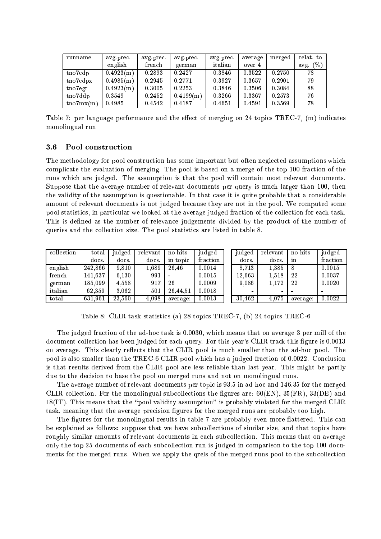| runname             | avg.prec. | avg.prec. | avg.prec. | avg.prec. | average | merged | relat. to   |
|---------------------|-----------|-----------|-----------|-----------|---------|--------|-------------|
|                     | english   | french    | german    | italian   | over 4  |        | avg. $(\%)$ |
| tno7edp             | 0.4923(m) | 0.2893    | 0.2427    | 0.3846    | 0.3522  | 0.2750 | 78          |
| $t$ no $7$ edpx     | 0.4985(m) | 0.2945    | 0.2771    | 0.3927    | 0.3657  | 0.2901 | 79          |
| $t_{\rm 107}$ egr   | 0.4923(m) | 0.3005    | 0.2253    | 0.3846    | 0.3506  | 0.3084 | 88          |
| tno7ddp             | 0.3549    | 0.2452    | 0.4199(m) | 0.3266    | 0.3367  | 0.2573 | 76          |
| $t_{\rm 107}$ mx(m) | 0.4985    | 0.4542    | 0.4187    | 0.4651    | 0.4591  | 0.3569 | 78          |

Table 7: per language performance and the effect of merging on 24 topics TREC-7,  $(m)$  indicates monolingual run

### 3.6 Pool construction

The methodology for pool construction has some important but often neglected assumptions which complicate the evaluation of merging. The pool is based on a merge of the top 100 fraction of the runs which are judged. The assumption is that the pool will contain most relevant documents. Suppose that the average number of relevant documents per query is much larger than 100, then the validity of the assumption is questionable. In that case it is quite probable that a considerable amount of relevant documents is not judged because they are not in the pool. We computed some pool statistics, in particular we looked at the average judged fraction of the collection for each task. This is defined as the number of relevance judgements divided by the product of the number of queries and the collection size. The pool statistics are listed in table 8.

| collection | total   | judged | relevant | no hits  | judged   | judged     | relevant       | no hits  | judged          |
|------------|---------|--------|----------|----------|----------|------------|----------------|----------|-----------------|
|            | docs.   | docs.  | docs.    | in topic | fraction | docs.      | docs.          | 1n       | fraction        |
| english    | 242.866 | 9,810  | 1.689    | 26.46    | 0.0014   | 8.713      | 1.385          | -8       | 0.0015          |
| french     | 141,637 | 6,130  | 991      |          | 0.0015   | $12.663\,$ | 1,518          | 22       | 0.0037          |
| german     | 185,099 | 4.558  | 917      | 26       | 0.0009   | 9,086      | 1,172          | 22       | 0.0020          |
| italian    | 62,359  | 3,062  | 501      | 26.44.51 | 0.0018   |            | $\blacksquare$ |          | $\qquad \qquad$ |
| total      | 631,961 | 23.560 | 4.098    | average: | 0.0013   | 30,462     | 4.075          | average: | 0.0022          |

Table 8: CLIR task statistics (a) 28 topics TREC-7, (b) 24 topics TREC-6

The judged fraction of the ad-hoc task is 0.0030, which means that on average 3 per mill of the document collection has been judged for each query. For this year's CLIR track this figure is 0.0013 on average. This clearly reflects that the CLIR pool is much smaller than the ad-hoc pool. The pool is also smaller than the TREC-6 CLIR pool which has a judged fraction of 0.0022. Conclusion is that results derived from the CLIR pool are less reliable than last year. This might be partly due to the decision to base the pool on merged runs and not on monolingual runs.

The average number of relevant documents per topic is 93.5 in ad-hoc and 146.35 for the merged CLIR collection. For the monolingual subcollections the figures are:  $60$ (EN),  $35$ (FR),  $33$ (DE) and  $18(IT)$ . This means that the "pool validity assumption" is probably violated for the merged CLIR task, meaning that the average precision figures for the merged runs are probably too high.

The figures for the monolingual results in table 7 are probably even more flattered. This can be explained as follows: suppose that we have subcollections of similar size, and that topics have roughly similar amounts of relevant documents in each subcollection. This means that on average only the top 25 documents of each subcollection run is judged in comparison to the top 100 documents for the merged runs. When we apply the qrels of the merged runs pool to the subcollection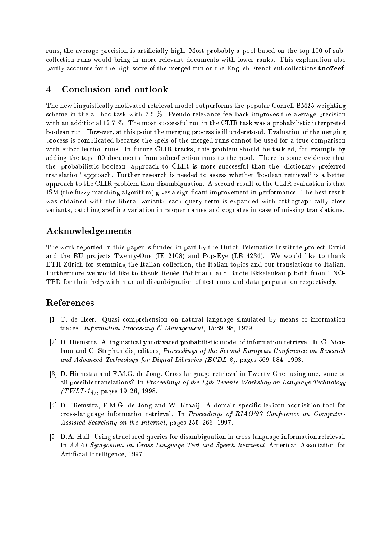runs, the average precision is articially high. Most probably a pool based on the top 100 of subcollection runs would bring in more relevant documents with lower ranks. This explanation also partly accounts for the high score of the merged run on the English French subcollections tno7eef.

## 4 Conclusion and outlook

The new linguistically motivated retrieval model outperforms the popular Cornell BM25 weighting scheme in the ad-hoc task with 7.5 %. Pseudo relevance feedback improves the average precision with an additional 12.7 %. The most successful run in the CLIR task was a probabilistic interpreted boolean run. However, at this point the merging process is ill understood. Evaluation of the merging process is complicated because the qrels of the merged runs cannot be used for a true comparison with subcollection runs. In future CLIR tracks, this problem should be tackled, for example by adding the top 100 documents from subcollection runs to the pool. There is some evidence that the 'probabilistic boolean' approach to CLIR is more successful than the 'dictionary preferred translation' approach. Further research is needed to assess whether 'boolean retrieval' is a better approach to the CLIR problem than disambiguation. A second result of the CLIR evaluation is that ISM (the fuzzy matching algorithm) gives a signicant improvement in performance. The best result was obtained with the liberal variant: each query term is expanded with orthographically close variants, catching spelling variation in proper names and cognates in case of missing translations.

## Acknowledgements

The work reported in this paper is funded in part by the Dutch Telematics Institute project Druid and the EU projects Twenty-One (IE  $2108$ ) and Pop-Eye (LE  $4234$ ). We would like to thank ETH Zürich for stemming the Italian collection, the Italian topics and our translations to Italian. Furthermore we would like to thank Renée Pohlmann and Rudie Ekkelenkamp both from TNO-TPD for their help with manual disambiguation of test runs and data preparation respectively.

## References

- [1] T. de Heer. Quasi comprehension on natural language simulated by means of information traces. Information Processing  $\mathcal{B}$  Management, 15:89-98, 1979.
- [2] D. Hiemstra. A linguistically motivated probabilistic model of information retrieval. In C. Nicolaou and C. Stephanidis, editors, Proceedings of the Second European Conference on Research and Advanced Technology for Digital Libraries  $(ECDL-2)$ , pages 569-584, 1998.
- [3] D. Hiemstra and F.M.G. de Jong. Cross-language retrieval in Twenty-One: using one, some or all possible translations? In Proceedings of the  $14th$  Twente Workshop on Language Technology  $(TWLT-14)$ , pages 19-26, 1998.
- [4] D. Hiemstra, F.M.G. de Jong and W. Kraaij. A domain specific lexicon acquisition tool for cross-language information retrieval. In Proceedings of RIAO'97 Conference on Computer-Assisted Searching on the Internet, pages 255-266, 1997.
- [5] D.A. Hull. Using structured queries for disambiguation in cross-language information retrieval. In AAAI Symposium on Cross-Language Text and Speech Retrieval. American Association for Articial Intelligence, 1997.